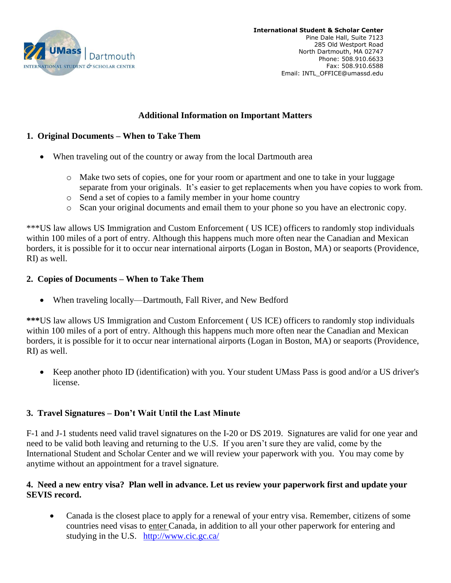

## **Additional Information on Important Matters**

## **1. Original Documents – When to Take Them**

- When traveling out of the country or away from the local Dartmouth area
	- o Make two sets of copies, one for your room or apartment and one to take in your luggage separate from your originals. It's easier to get replacements when you have copies to work from.
	- o Send a set of copies to a family member in your home country
	- o Scan your original documents and email them to your phone so you have an electronic copy.

\*\*\*US law allows US Immigration and Custom Enforcement ( US ICE) officers to randomly stop individuals within 100 miles of a port of entry. Although this happens much more often near the Canadian and Mexican borders, it is possible for it to occur near international airports (Logan in Boston, MA) or seaports (Providence, RI) as well.

## **2. Copies of Documents – When to Take Them**

• When traveling locally—Dartmouth, Fall River, and New Bedford

**\*\*\***US law allows US Immigration and Custom Enforcement ( US ICE) officers to randomly stop individuals within 100 miles of a port of entry. Although this happens much more often near the Canadian and Mexican borders, it is possible for it to occur near international airports (Logan in Boston, MA) or seaports (Providence, RI) as well.

 Keep another photo ID (identification) with you. Your student UMass Pass is good and/or a US driver's license.

# **3. Travel Signatures – Don't Wait Until the Last Minute**

F-1 and J-1 students need valid travel signatures on the I-20 or DS 2019. Signatures are valid for one year and need to be valid both leaving and returning to the U.S. If you aren't sure they are valid, come by the International Student and Scholar Center and we will review your paperwork with you. You may come by anytime without an appointment for a travel signature.

#### **4. Need a new entry visa? Plan well in advance. Let us review your paperwork first and update your SEVIS record.**

 Canada is the closest place to apply for a renewal of your entry visa. Remember, citizens of some countries need visas to enter Canada, in addition to all your other paperwork for entering and studying in the U.S. <http://www.cic.gc.ca/>